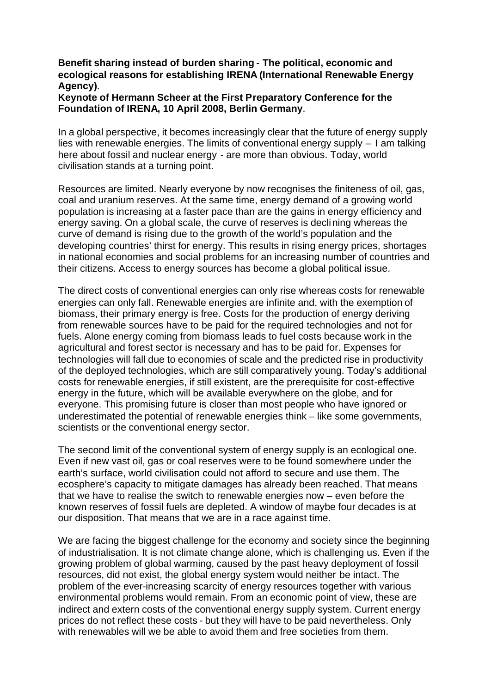## **Benefit sharing instead of burden sharing - The political, economic and ecological reasons for establishing IRENA (International Renewable Energy Agency)**.

## **Keynote of Hermann Scheer at the First Preparatory Conference for the Foundation of IRENA, 10 April 2008, Berlin Germany**.

In a global perspective, it becomes increasingly clear that the future of energy supply lies with renewable energies. The limits of conventional energy supply – I am talking here about fossil and nuclear energy - are more than obvious. Today, world civilisation stands at a turning point.

Resources are limited. Nearly everyone by now recognises the finiteness of oil, gas, coal and uranium reserves. At the same time, energy demand of a growing world population is increasing at a faster pace than are the gains in energy efficiency and energy saving. On a global scale, the curve of reserves is declining whereas the curve of demand is rising due to the growth of the world's population and the developing countries' thirst for energy. This results in rising energy prices, shortages in national economies and social problems for an increasing number of countries and their citizens. Access to energy sources has become a global political issue.

The direct costs of conventional energies can only rise whereas costs for renewable energies can only fall. Renewable energies are infinite and, with the exemption of biomass, their primary energy is free. Costs for the production of energy deriving from renewable sources have to be paid for the required technologies and not for fuels. Alone energy coming from biomass leads to fuel costs because work in the agricultural and forest sector is necessary and has to be paid for. Expenses for technologies will fall due to economies of scale and the predicted rise in productivity of the deployed technologies, which are still comparatively young. Today's additional costs for renewable energies, if still existent, are the prerequisite for cost-effective energy in the future, which will be available everywhere on the globe, and for everyone. This promising future is closer than most people who have ignored or underestimated the potential of renewable energies think – like some governments, scientists or the conventional energy sector.

The second limit of the conventional system of energy supply is an ecological one. Even if new vast oil, gas or coal reserves were to be found somewhere under the earth's surface, world civilisation could not afford to secure and use them. The ecosphere's capacity to mitigate damages has already been reached. That means that we have to realise the switch to renewable energies now – even before the known reserves of fossil fuels are depleted. A window of maybe four decades is at our disposition. That means that we are in a race against time.

We are facing the biggest challenge for the economy and society since the beginning of industrialisation. It is not climate change alone, which is challenging us. Even if the growing problem of global warming, caused by the past heavy deployment of fossil resources, did not exist, the global energy system would neither be intact. The problem of the ever-increasing scarcity of energy resources together with various environmental problems would remain. From an economic point of view, these are indirect and extern costs of the conventional energy supply system. Current energy prices do not reflect these costs - but they will have to be paid nevertheless. Only with renewables will we be able to avoid them and free societies from them.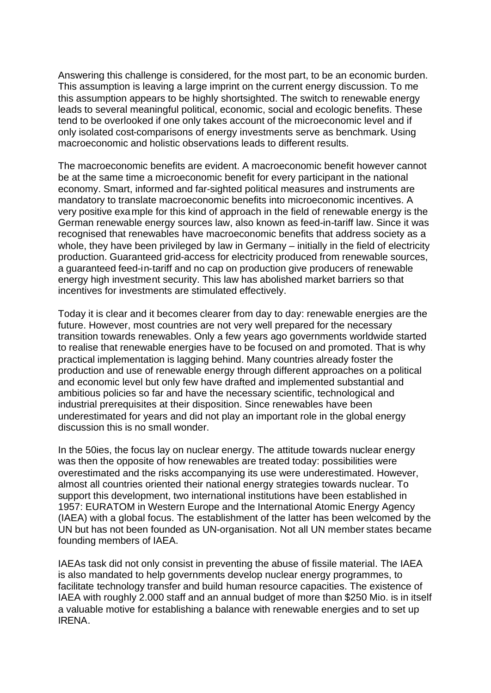Answering this challenge is considered, for the most part, to be an economic burden. This assumption is leaving a large imprint on the current energy discussion. To me this assumption appears to be highly shortsighted. The switch to renewable energy leads to several meaningful political, economic, social and ecologic benefits. These tend to be overlooked if one only takes account of the microeconomic level and if only isolated cost-comparisons of energy investments serve as benchmark. Using macroeconomic and holistic observations leads to different results.

The macroeconomic benefits are evident. A macroeconomic benefit however cannot be at the same time a microeconomic benefit for every participant in the national economy. Smart, informed and far-sighted political measures and instruments are mandatory to translate macroeconomic benefits into microeconomic incentives. A very positive example for this kind of approach in the field of renewable energy is the German renewable energy sources law, also known as feed-in-tariff law. Since it was recognised that renewables have macroeconomic benefits that address society as a whole, they have been privileged by law in Germany – initially in the field of electricity production. Guaranteed grid-access for electricity produced from renewable sources, a guaranteed feed-in-tariff and no cap on production give producers of renewable energy high investment security. This law has abolished market barriers so that incentives for investments are stimulated effectively.

Today it is clear and it becomes clearer from day to day: renewable energies are the future. However, most countries are not very well prepared for the necessary transition towards renewables. Only a few years ago governments worldwide started to realise that renewable energies have to be focused on and promoted. That is why practical implementation is lagging behind. Many countries already foster the production and use of renewable energy through different approaches on a political and economic level but only few have drafted and implemented substantial and ambitious policies so far and have the necessary scientific, technological and industrial prerequisites at their disposition. Since renewables have been underestimated for years and did not play an important role in the global energy discussion this is no small wonder.

In the 50ies, the focus lay on nuclear energy. The attitude towards nuclear energy was then the opposite of how renewables are treated today: possibilities were overestimated and the risks accompanying its use were underestimated. However, almost all countries oriented their national energy strategies towards nuclear. To support this development, two international institutions have been established in 1957: EURATOM in Western Europe and the International Atomic Energy Agency (IAEA) with a global focus. The establishment of the latter has been welcomed by the UN but has not been founded as UN-organisation. Not all UN member states became founding members of IAEA.

IAEAs task did not only consist in preventing the abuse of fissile material. The IAEA is also mandated to help governments develop nuclear energy programmes, to facilitate technology transfer and build human resource capacities. The existence of IAEA with roughly 2.000 staff and an annual budget of more than \$250 Mio. is in itself a valuable motive for establishing a balance with renewable energies and to set up IRENA.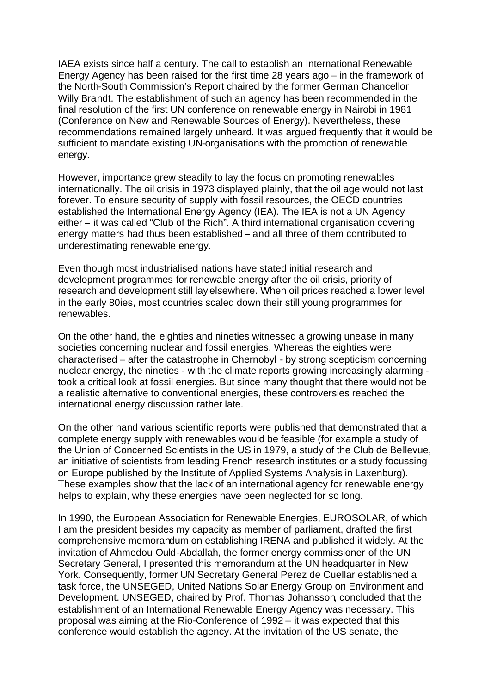IAEA exists since half a century. The call to establish an International Renewable Energy Agency has been raised for the first time 28 years ago – in the framework of the North-South Commission's Report chaired by the former German Chancellor Willy Brandt. The establishment of such an agency has been recommended in the final resolution of the first UN conference on renewable energy in Nairobi in 1981 (Conference on New and Renewable Sources of Energy). Nevertheless, these recommendations remained largely unheard. It was argued frequently that it would be sufficient to mandate existing UN-organisations with the promotion of renewable energy.

However, importance grew steadily to lay the focus on promoting renewables internationally. The oil crisis in 1973 displayed plainly, that the oil age would not last forever. To ensure security of supply with fossil resources, the OECD countries established the International Energy Agency (IEA). The IEA is not a UN Agency either – it was called "Club of the Rich". A third international organisation covering energy matters had thus been established – and all three of them contributed to underestimating renewable energy.

Even though most industrialised nations have stated initial research and development programmes for renewable energy after the oil crisis, priority of research and development still lay elsewhere. When oil prices reached a lower level in the early 80ies, most countries scaled down their still young programmes for renewables.

On the other hand, the eighties and nineties witnessed a growing unease in many societies concerning nuclear and fossil energies. Whereas the eighties were characterised – after the catastrophe in Chernobyl - by strong scepticism concerning nuclear energy, the nineties - with the climate reports growing increasingly alarming took a critical look at fossil energies. But since many thought that there would not be a realistic alternative to conventional energies, these controversies reached the international energy discussion rather late.

On the other hand various scientific reports were published that demonstrated that a complete energy supply with renewables would be feasible (for example a study of the Union of Concerned Scientists in the US in 1979, a study of the Club de Bellevue, an initiative of scientists from leading French research institutes or a study focussing on Europe published by the Institute of Applied Systems Analysis in Laxenburg). These examples show that the lack of an international agency for renewable energy helps to explain, why these energies have been neglected for so long.

In 1990, the European Association for Renewable Energies, EUROSOLAR, of which I am the president besides my capacity as member of parliament, drafted the first comprehensive memorandum on establishing IRENA and published it widely. At the invitation of Ahmedou Ould-Abdallah, the former energy commissioner of the UN Secretary General, I presented this memorandum at the UN headquarter in New York. Consequently, former UN Secretary General Perez de Cuellar established a task force, the UNSEGED, United Nations Solar Energy Group on Environment and Development. UNSEGED, chaired by Prof. Thomas Johansson, concluded that the establishment of an International Renewable Energy Agency was necessary. This proposal was aiming at the Rio-Conference of 1992 – it was expected that this conference would establish the agency. At the invitation of the US senate, the